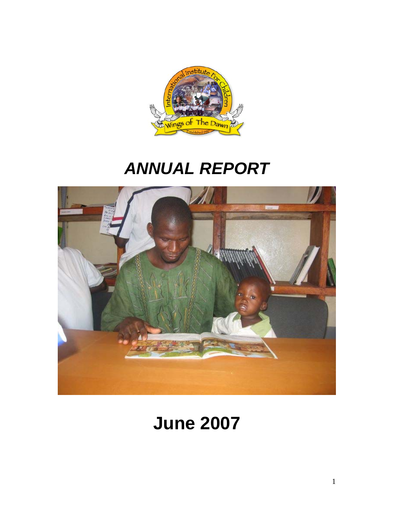

# *ANNUAL REPORT*



# **June 2007**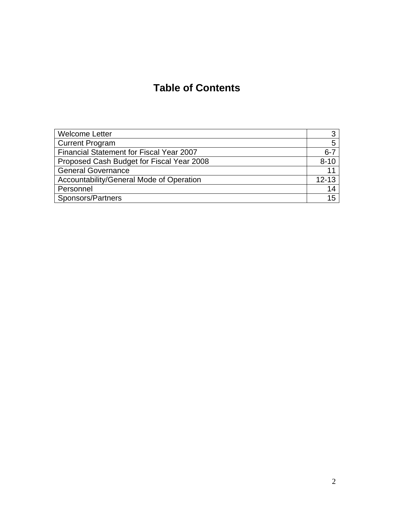## **Table of Contents**

| <b>Welcome Letter</b>                     | っ         |
|-------------------------------------------|-----------|
| <b>Current Program</b>                    | 5         |
| Financial Statement for Fiscal Year 2007  | $6 - 7$   |
| Proposed Cash Budget for Fiscal Year 2008 | $8 - 10$  |
| <b>General Governance</b>                 | 11        |
| Accountability/General Mode of Operation  | $12 - 13$ |
| Personnel                                 | 14        |
| Sponsors/Partners                         | 15        |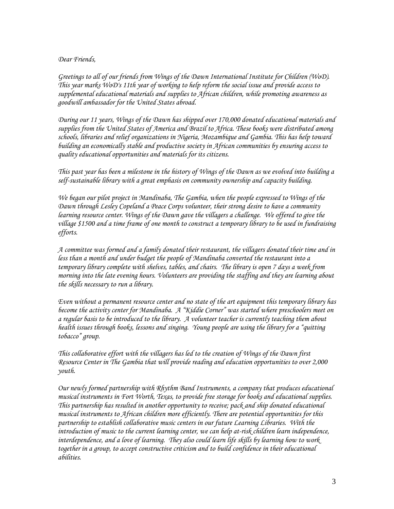#### *Dear Friends,*

*Greetings to all of our friends from Wings of the Dawn International Institute for Children (WoD). This year marks WoD's 11th year of working to help reform the social issue and provide access to supplemental educational materials and supplies to African children, while promoting awareness as goodwill ambassador for the United States abroad.* 

*During our 11 years, Wings of the Dawn has shipped over 170,000 donated educational materials and supplies from the United States of America and Brazil to Africa. These books were distributed among schools, libraries and relief organizations in Nigeria, Mozambique and Gambia. This has help toward building an economically stable and productive society in African communities by ensuring access to quality educational opportunities and materials for its citizens.* 

*This past year has been a milestone in the history of Wings of the Dawn as we evolved into building a self-sustainable library with a great emphasis on community ownership and capacity building.* 

*We began our pilot project in Mandinaba, The Gambia, when the people expressed to Wings of the Dawn through Lesley Copeland a Peace Corps volunteer, their strong desire to have a community*  learning resource center. Wings of the Dawn gave the villagers a challenge. We offered to give the *village \$1500 and a time frame of one month to construct a temporary library to be used in fundraising efforts.* 

*A committee was formed and a family donated their restaurant, the villagers donated their time and in less than a month and under budget the people of Mandinaba converted the restaurant into a temporary library complete with shelves, tables, and chairs. The library is open 7 days a week from morning into the late evening hours. Volunteers are providing the staffing and they are learning about the skills necessary to run a library.* 

*Even without a permanent resource center and no state of the art equipment this temporary library has become the activity center for Mandinaba. A "Kiddie Corner" was started where preschoolers meet on a regular basis to be introduced to the library. A volunteer teacher is currently teaching them about health issues through books, lessons and singing. Young people are using the library for a "quitting tobacco" group.* 

*This collaborative effort with the villagers has led to the creation of Wings of the Dawn first Resource Center in The Gambia that will provide reading and education opportunities to over 2,000 youth.* 

*Our newly formed partnership with Rhythm Band Instruments, a company that produces educational musical instruments in Fort Worth, Texas, to provide free storage for books and educational supplies. This partnership has resulted in another opportunity to receive; pack and ship donated educational musical instruments to African children more efficiently. There are potential opportunities for this partnership to establish collaborative music centers in our future Learning Libraries. With the introduction of music to the current learning center, we can help at-risk children learn independence, interdependence, and a love of learning. They also could learn life skills by learning how to work together in a group, to accept constructive criticism and to build confidence in their educational abilities.*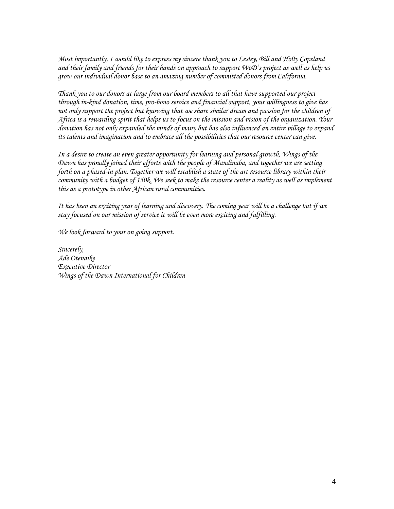*Most importantly, I would like to express my sincere thank you to Lesley, Bill and Holly Copeland and their family and friends for their hands on approach to support WoD's project as well as help us grow our individual donor base to an amazing number of committed donors from California.* 

*Thank you to our donors at large from our board members to all that have supported our project through in-kind donation, time, pro-bono service and financial support, your willingness to give has not only support the project but knowing that we share similar dream and passion for the children of Africa is a rewarding spirit that helps us to focus on the mission and vision of the organization. Your donation has not only expanded the minds of many but has also influenced an entire village to expand its talents and imagination and to embrace all the possibilities that our resource center can give.* 

*In a desire to create an even greater opportunity for learning and personal growth, Wings of the Dawn has proudly joined their efforts with the people of Mandinaba, and together we are setting forth on a phased-in plan. Together we will establish a state of the art resource library within their community with a budget of 150k. We seek to make the resource center a reality as well as implement this as a prototype in other African rural communities.* 

*It has been an exciting year of learning and discovery. The coming year will be a challenge but if we stay focused on our mission of service it will be even more exciting and fulfilling.* 

*We look forward to your on going support.* 

*Sincerely, Ade Otenaike Executive Director Wings of the Dawn International for Children*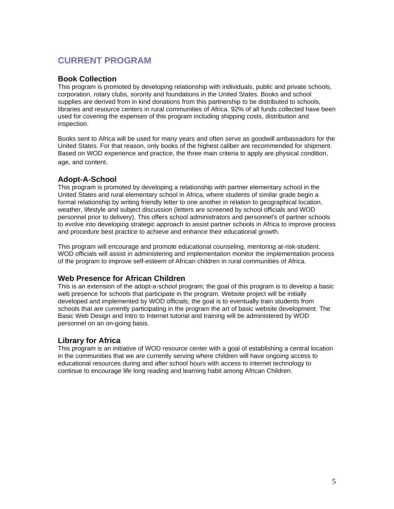## **CURRENT PROGRAM**

#### **Book Collection**

This program is promoted by developing relationship with individuals, public and private schools, corporation, rotary clubs, sorority and foundations in the United States. Books and school supplies are derived from in kind donations from this partnership to be distributed to schools, libraries and resource centers in rural communities of Africa. 92% of all funds collected have been used for covering the expenses of this program including shipping costs, distribution and inspection.

Books sent to Africa will be used for many years and often serve as goodwill ambassadors for the United States. For that reason, only books of the highest caliber are recommended for shipment. Based on WOD experience and practice, the three main criteria to apply are physical condition, age, and content.

#### **Adopt-A-School**

This program is promoted by developing a relationship with partner elementary school in the United States and rural elementary school in Africa, where students of similar grade begin a formal relationship by writing friendly letter to one another in relation to geographical location, weather, lifestyle and subject discussion (letters are screened by school officials and WOD personnel prior to delivery). This offers school administrators and personnel's of partner schools to evolve into developing strategic approach to assist partner schools in Africa to improve process and procedure best practice to achieve and enhance their educational growth.

This program will encourage and promote educational counseling, mentoring at-risk-student. WOD officials will assist in administering and implementation monitor the implementation process of the program to improve self-esteem of African children in rural communities of Africa.

#### **Web Presence for African Children**

This is an extension of the adopt-a-school program; the goal of this program is to develop a basic web presence for schools that participate in the program. Website project will be initially developed and implemented by WOD officials; the goal is to eventually train students from schools that are currently participating in the program the art of basic website development. The Basic Web Design and Intro to Internet tutorial and training will be administered by WOD personnel on an on-going basis.

#### **Library for Africa**

This program is an initiative of WOD resource center with a goal of establishing a central location in the communities that we are currently serving where children will have ongoing access to educational resources during and after school hours with access to internet technology to continue to encourage life long reading and learning habit among African Children.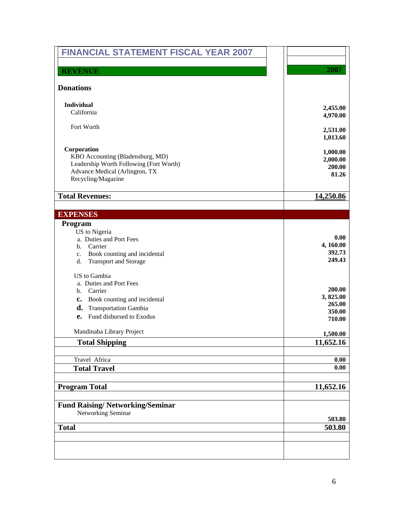| <b>FINANCIAL STATEMENT FISCAL YEAR 2007</b>                              |                     |
|--------------------------------------------------------------------------|---------------------|
|                                                                          |                     |
| <b>REVENUE</b>                                                           | 2007                |
| <b>Donations</b>                                                         |                     |
|                                                                          |                     |
| <b>Individual</b><br>California                                          | 2,455.00            |
|                                                                          | 4,970.00            |
| Fort Worth                                                               | 2,531.00            |
|                                                                          | 1,013.60            |
| Corporation                                                              |                     |
| KBO Accounting (Bladensburg, MD)                                         | 1,000.00            |
| Leadership Worth Following (Fort Worth)                                  | 2,000.00<br>200.00  |
| Advance Medical (Arlington, TX                                           | 81.26               |
| Recycling/Magazine                                                       |                     |
| <b>Total Revenues:</b>                                                   | 14,250.86           |
|                                                                          |                     |
| <b>EXPENSES</b>                                                          |                     |
| Program                                                                  |                     |
| US to Nigeria                                                            |                     |
| a. Duties and Port Fees                                                  | 0.00                |
| Carrier<br>b.                                                            | 4, 160.00<br>392.73 |
| Book counting and incidental<br>c.<br>d.<br><b>Transport and Storage</b> | 249.43              |
|                                                                          |                     |
| US to Gambia                                                             |                     |
| a. Duties and Port Fees                                                  | 200.00              |
| Carrier<br>b.                                                            | 3,825.00            |
| Book counting and incidental<br>$c_{\bullet}$                            | 265.00              |
| d.<br><b>Transportation Gambia</b>                                       | 350.00              |
| Fund disbursed to Exodus<br>e.                                           | 710.00              |
| Mandinaba Library Project                                                | 1,500.00            |
| <b>Total Shipping</b>                                                    | 11,652.16           |
|                                                                          |                     |
| Travel Africa                                                            | 0.00                |
| <b>Total Travel</b>                                                      | 0.00                |
| <b>Program Total</b>                                                     | 11,652.16           |
|                                                                          |                     |
| <b>Fund Raising/Networking/Seminar</b>                                   |                     |
| Networking Seminar                                                       |                     |
|                                                                          | 503.80              |
| <b>Total</b>                                                             | 503.80              |
|                                                                          |                     |
|                                                                          |                     |
|                                                                          |                     |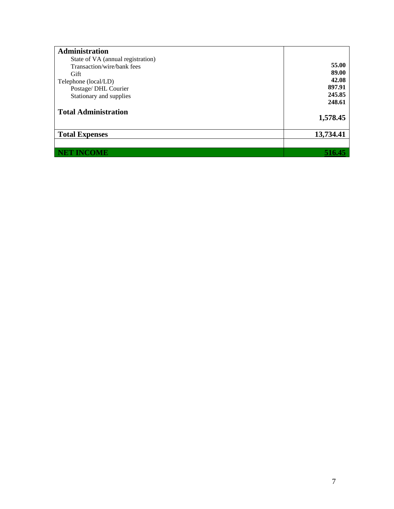| State of VA (annual registration) |           |
|-----------------------------------|-----------|
| Transaction/wire/bank fees        | 55.00     |
| Gift                              | 89.00     |
| Telephone (local/LD)              | 42.08     |
| Postage/ DHL Courier              | 897.91    |
| Stationary and supplies           | 245.85    |
|                                   | 248.61    |
| <b>Total Administration</b>       | 1,578.45  |
| <b>Total Expenses</b>             | 13,734.41 |
| <b>NET INCOME</b>                 | 516.45    |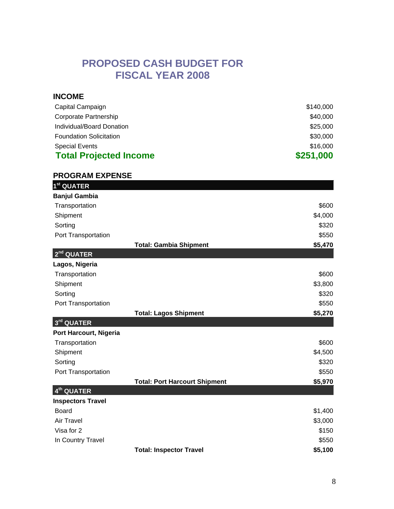## **PROPOSED CASH BUDGET FOR FISCAL YEAR 2008**

| <b>INCOME</b>                  |           |
|--------------------------------|-----------|
| Capital Campaign               | \$140,000 |
| Corporate Partnership          | \$40,000  |
| Individual/Board Donation      | \$25,000  |
| <b>Foundation Solicitation</b> | \$30,000  |
| <b>Special Events</b>          | \$16,000  |
| <b>Total Projected Income</b>  | \$251,000 |

| <b>PROGRAM EXPENSE</b>   |                                      |         |
|--------------------------|--------------------------------------|---------|
| 1 <sup>st</sup> QUATER   |                                      |         |
| <b>Banjul Gambia</b>     |                                      |         |
| Transportation           |                                      | \$600   |
| Shipment                 |                                      | \$4,000 |
| Sorting                  |                                      | \$320   |
| Port Transportation      |                                      | \$550   |
|                          | <b>Total: Gambia Shipment</b>        | \$5,470 |
| $2nd$ QUATER             |                                      |         |
| Lagos, Nigeria           |                                      |         |
| Transportation           |                                      | \$600   |
| Shipment                 |                                      | \$3,800 |
| Sorting                  |                                      | \$320   |
| Port Transportation      |                                      | \$550   |
|                          | <b>Total: Lagos Shipment</b>         | \$5,270 |
| 3rd QUATER               |                                      |         |
| Port Harcourt, Nigeria   |                                      |         |
| Transportation           |                                      | \$600   |
| Shipment                 |                                      | \$4,500 |
| Sorting                  |                                      | \$320   |
| Port Transportation      |                                      | \$550   |
|                          | <b>Total: Port Harcourt Shipment</b> | \$5,970 |
| 4 <sup>th</sup> QUATER   |                                      |         |
| <b>Inspectors Travel</b> |                                      |         |
| <b>Board</b>             |                                      | \$1,400 |
| <b>Air Travel</b>        |                                      | \$3,000 |
| Visa for 2               |                                      | \$150   |
| In Country Travel        |                                      | \$550   |
|                          | <b>Total: Inspector Travel</b>       | \$5,100 |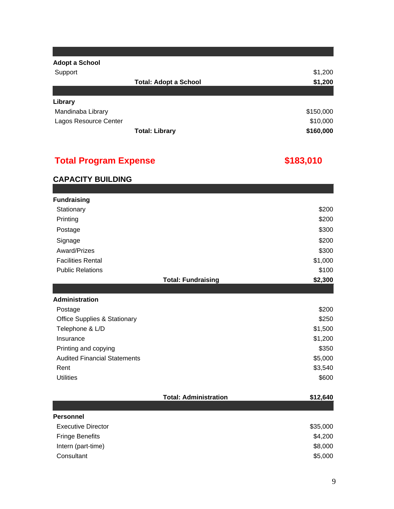| <b>Adopt a School</b> |                              |           |
|-----------------------|------------------------------|-----------|
| Support               |                              | \$1,200   |
|                       | <b>Total: Adopt a School</b> | \$1,200   |
|                       |                              |           |
| Library               |                              |           |
| Mandinaba Library     |                              | \$150,000 |
| Lagos Resource Center |                              | \$10,000  |
|                       | <b>Total: Library</b>        | \$160,000 |

## **Total Program Expense**

## **\$183,010**

### **CAPACITY BUILDING**

| <b>Fundraising</b>                      |          |
|-----------------------------------------|----------|
| Stationary                              | \$200    |
| Printing                                | \$200    |
| Postage                                 | \$300    |
| Signage                                 | \$200    |
| Award/Prizes                            | \$300    |
| <b>Facilities Rental</b>                | \$1,000  |
| <b>Public Relations</b>                 | \$100    |
| <b>Total: Fundraising</b>               | \$2,300  |
|                                         |          |
| <b>Administration</b>                   |          |
| Postage                                 | \$200    |
| <b>Office Supplies &amp; Stationary</b> | \$250    |
| Telephone & L/D                         | \$1,500  |
| Insurance                               | \$1,200  |
| Printing and copying                    | \$350    |
| <b>Audited Financial Statements</b>     | \$5,000  |
| Rent                                    | \$3,540  |
| <b>Utilities</b>                        | \$600    |
| <b>Total: Administration</b>            | \$12,640 |
|                                         |          |
| <b>Personnel</b>                        |          |
| <b>Executive Director</b>               | \$35,000 |
| <b>Fringe Benefits</b>                  | \$4,200  |
| Intern (part-time)                      | \$8,000  |
| Consultant                              | \$5,000  |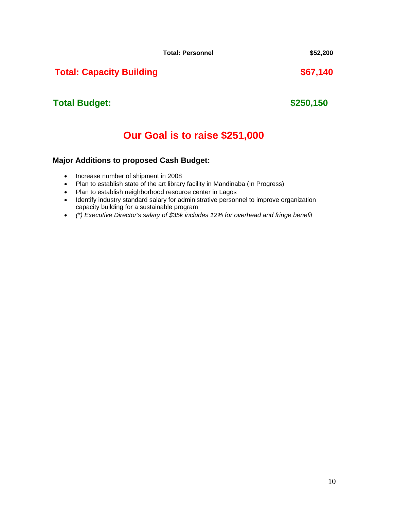**Total: Personnel \$52,200** 

## **Total: Capacity Building \$67,140**

## **Total Budget:**

## **Our Goal is to raise \$251,000**

#### **Major Additions to proposed Cash Budget:**

- Increase number of shipment in 2008
- Plan to establish state of the art library facility in Mandinaba (In Progress)
- Plan to establish neighborhood resource center in Lagos
- Identify industry standard salary for administrative personnel to improve organization capacity building for a sustainable program
- *(\*) Executive Director's salary of \$35k includes 12% for overhead and fringe benefit*

**\$250,150**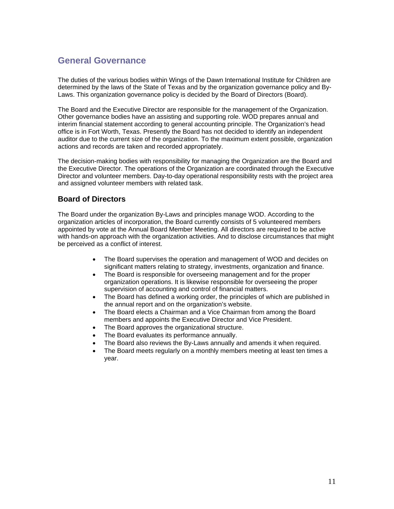## **General Governance**

The duties of the various bodies within Wings of the Dawn International Institute for Children are determined by the laws of the State of Texas and by the organization governance policy and By-Laws. This organization governance policy is decided by the Board of Directors (Board).

The Board and the Executive Director are responsible for the management of the Organization. Other governance bodies have an assisting and supporting role. WOD prepares annual and interim financial statement according to general accounting principle. The Organization's head office is in Fort Worth, Texas. Presently the Board has not decided to identify an independent auditor due to the current size of the organization. To the maximum extent possible, organization actions and records are taken and recorded appropriately.

The decision-making bodies with responsibility for managing the Organization are the Board and the Executive Director. The operations of the Organization are coordinated through the Executive Director and volunteer members. Day-to-day operational responsibility rests with the project area and assigned volunteer members with related task.

#### **Board of Directors**

The Board under the organization By-Laws and principles manage WOD. According to the organization articles of incorporation, the Board currently consists of 5 volunteered members appointed by vote at the Annual Board Member Meeting. All directors are required to be active with hands-on approach with the organization activities. And to disclose circumstances that might be perceived as a conflict of interest.

- The Board supervises the operation and management of WOD and decides on significant matters relating to strategy, investments, organization and finance.
- The Board is responsible for overseeing management and for the proper organization operations. It is likewise responsible for overseeing the proper supervision of accounting and control of financial matters.
- The Board has defined a working order, the principles of which are published in the annual report and on the organization's website.
- The Board elects a Chairman and a Vice Chairman from among the Board members and appoints the Executive Director and Vice President.
- The Board approves the organizational structure.
- The Board evaluates its performance annually.
- The Board also reviews the By-Laws annually and amends it when required.
- The Board meets regularly on a monthly members meeting at least ten times a year.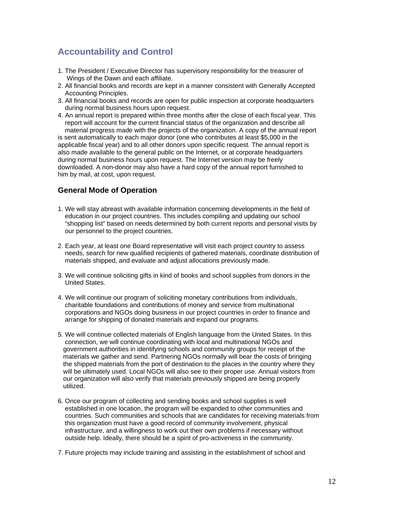## **Accountability and Control**

- 1. The President / Executive Director has supervisory responsibility for the treasurer of Wings of the Dawn and each affiliate.
- 2. All financial books and records are kept in a manner consistent with Generally Accepted Accounting Principles.
- 3. All financial books and records are open for public inspection at corporate headquarters during normal business hours upon request.
- 4. An annual report is prepared within three months after the close of each fiscal year. This report will account for the current financial status of the organization and describe all

 material progress made with the projects of the organization. A copy of the annual report is sent automatically to each major donor (one who contributes at least \$5,000 in the applicable fiscal year) and to all other donors upon specific request. The annual report is also made available to the general public on the Internet, or at corporate headquarters during normal business hours upon request. The Internet version may be freely downloaded. A non-donor may also have a hard copy of the annual report furnished to him by mail, at cost, upon request.

#### **General Mode of Operation**

- 1. We will stay abreast with available information concerning developments in the field of education in our project countries. This includes compiling and updating our school "shopping list" based on needs determined by both current reports and personal visits by our personnel to the project countries.
- 2. Each year, at least one Board representative will visit each project country to assess needs, search for new qualified recipients of gathered materials, coordinate distribution of materials shipped, and evaluate and adjust allocations previously made.
- 3. We will continue soliciting gifts in kind of books and school supplies from donors in the United States.
- 4. We will continue our program of soliciting monetary contributions from individuals, charitable foundations and contributions of money and service from multinational corporations and NGOs doing business in our project countries in order to finance and arrange for shipping of donated materials and expand our programs.
- 5. We will continue collected materials of English language from the United States. In this connection, we will continue coordinating with local and multinational NGOs and government authorities in identifying schools and community groups for receipt of the materials we gather and send. Partnering NGOs normally will bear the costs of bringing the shipped materials from the port of destination to the places in the country where they will be ultimately used. Local NGOs will also see to their proper use. Annual visitors from our organization will also verify that materials previously shipped are being properly utilized.
- 6. Once our program of collecting and sending books and school supplies is well established in one location, the program will be expanded to other communities and countries. Such communities and schools that are candidates for receiving materials from this organization must have a good record of community involvement, physical infrastructure, and a willingness to work out their own problems if necessary without outside help. Ideally, there should be a spirit of pro-activeness in the community.
- 7. Future projects may include training and assisting in the establishment of school and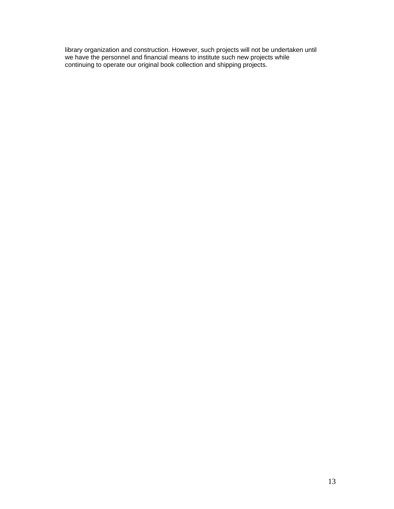library organization and construction. However, such projects will not be undertaken until we have the personnel and financial means to institute such new projects while continuing to operate our original book collection and shipping projects.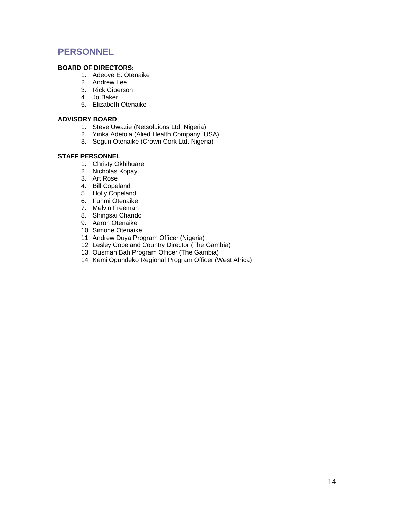## **PERSONNEL**

#### **BOARD OF DIRECTORS:**

- 1. Adeoye E. Otenaike
- 2. Andrew Lee
- 3. Rick Giberson
- 4. Jo Baker
- 5. Elizabeth Otenaike

#### **ADVISORY BOARD**

- 1. Steve Uwazie (Netsoluions Ltd. Nigeria)
- 2. Yinka Adetola (Alied Health Company. USA)
- 3. Segun Otenaike (Crown Cork Ltd. Nigeria)

#### **STAFF PERSONNEL**

- 1. Christy Okhihuare
- 2. Nicholas Kopay
- 3. Art Rose
- 4. Bill Copeland
- 5. Holly Copeland
- 6. Funmi Otenaike
- 7. Melvin Freeman
- 8. Shingsai Chando
- 9. Aaron Otenaike
- 10. Simone Otenaike
- 11. Andrew Duya Program Officer (Nigeria)
- 12. Lesley Copeland Country Director (The Gambia)
- 13. Ousman Bah Program Officer (The Gambia)
- 14. Kemi Ogundeko Regional Program Officer (West Africa)